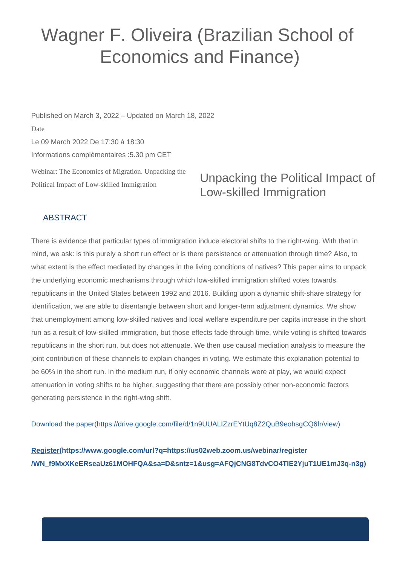## Wagner F. Oliveira (Brazilian School of Economics and Finance)

Webinar: The Economics of Migration. Unpacking the Political Impact of Low-skilled Immigration Published on March 3, 2022 – Updated on March 18, 2022 Date Le 09 March 2022 De 17:30 à 18:30 Informations complémentaires :5.30 pm CET

## Unpacking the Political Impact of Low-skilled Immigration

## ABSTRACT

There is evidence that particular types of immigration induce electoral shifts to the right-wing. With that in mind, we ask: is this purely a short run effect or is there persistence or attenuation through time? Also, to what extent is the effect mediated by changes in the living conditions of natives? This paper aims to unpack the underlying economic mechanisms through which low-skilled immigration shifted votes towards republicans in the United States between 1992 and 2016. Building upon a dynamic shift-share strategy for identification, we are able to disentangle between short and longer-term adjustment dynamics. We show that unemployment among low-skilled natives and local welfare expenditure per capita increase in the short run as a result of low-skilled immigration, but those effects fade through time, while voting is shifted towards republicans in the short run, but does not attenuate. We then use causal mediation analysis to measure the joint contribution of these channels to explain changes in voting. We estimate this explanation potential to be 60% in the short run. In the medium run, if only economic channels were at play, we would expect attenuation in voting shifts to be higher, suggesting that there are possibly other non-economic factors generating persistence in the right-wing shift.

[Download the paper\(https://drive.google.com/file/d/1n9UUALIZzrEYtUq8Z2QuB9eohsgCQ6fr/view\)](https://drive.google.com/file/d/1n9UUALIZzrEYtUq8Z2QuB9eohsgCQ6fr/view)

**[Register\(https://www.google.com/url?q=https://us02web.zoom.us/webinar/register](https://www.google.com/url?q=https://us02web.zoom.us/webinar/register/WN_f9MxXKeERseaUz61MOHFQA&sa=D&sntz=1&usg=AFQjCNG8TdvCO4TIE2YjuT1UE1mJ3q-n3g) [/WN\\_f9MxXKeERseaUz61MOHFQA&sa=D&sntz=1&usg=AFQjCNG8TdvCO4TIE2YjuT1UE1mJ3q-n3g\)](https://www.google.com/url?q=https://us02web.zoom.us/webinar/register/WN_f9MxXKeERseaUz61MOHFQA&sa=D&sntz=1&usg=AFQjCNG8TdvCO4TIE2YjuT1UE1mJ3q-n3g)**